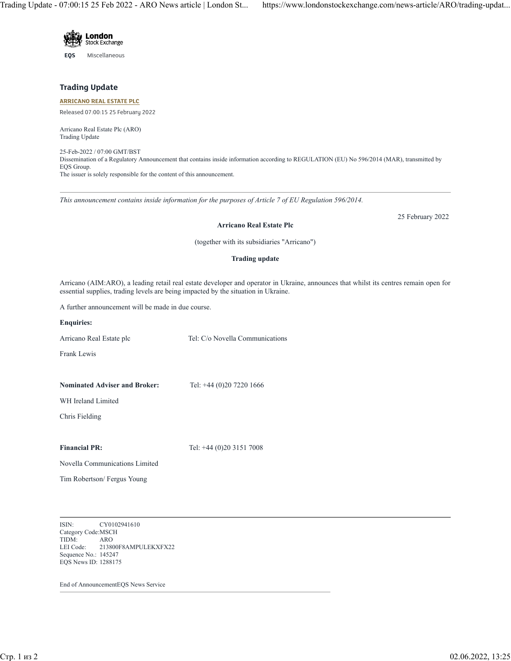Trading Update - 07:00:15 25 Feb 2022 - ARO News article | London St... https://www.londonstockexchange.com/news-article/ARO/trading-updat...



**EQS** Miscellaneous

## **Trading Update**

### **[ARRICANO REAL ESTATE PLC](https://www.londonstockexchange.com/stock/ARO/arricano-real-estate-plc)**

Released 07:00:15 25 February 2022

Arricano Real Estate Plc (ARO) Trading Update

25-Feb-2022 / 07:00 GMT/BST Dissemination of a Regulatory Announcement that contains inside information according to REGULATION (EU) No 596/2014 (MAR), transmitted by EQS Group. The issuer is solely responsible for the content of this announcement.

*This announcement contains inside information for the purposes of Article 7 of EU Regulation 596/2014.*

25 February 2022

#### **Arricano Real Estate Plc**

(together with its subsidiaries "Arricano")

#### **Trading update**

Arricano (AIM:ARO), a leading retail real estate developer and operator in Ukraine, announces that whilst its centres remain open for essential supplies, trading levels are being impacted by the situation in Ukraine.

A further announcement will be made in due course.

**Enquiries:**

Arricano Real Estate plc Tel: C/o Novella Communications

Frank Lewis

**Nominated Adviser and Broker:** Tel: +44 (0)20 7220 1666

WH Ireland Limited

Chris Fielding

# **Financial PR:** Tel: +44 (0)20 3151 7008

Novella Communications Limited

Tim Robertson/ Fergus Young

ISIN: CY0102941610 Category Code:MSCH TIDM: ARO LEI Code: 213800F8AMPULEKXFX22 Sequence No.: 145247 EQS News ID: 1288175

End of AnnouncementEQS News Service